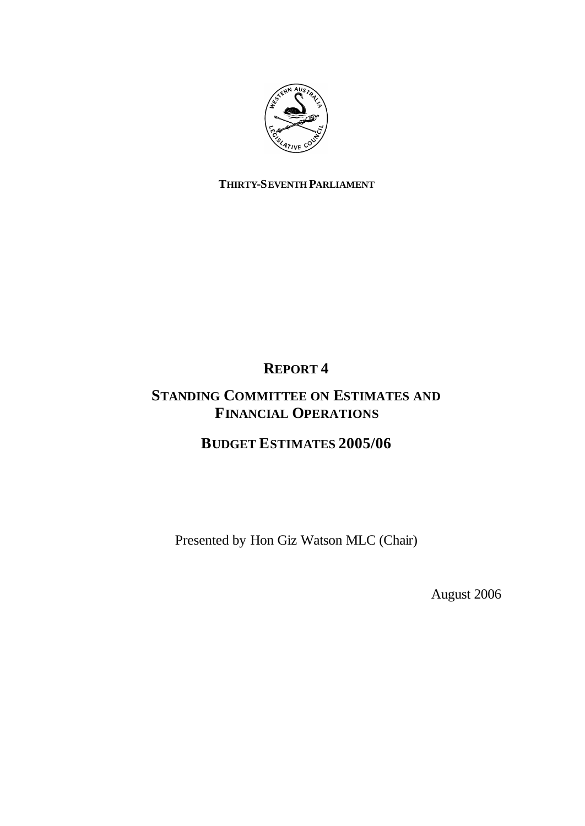

#### **THIRTY-SEVENTH PARLIAMENT**

## **REPORT 4**

## **STANDING COMMITTEE ON ESTIMATES AND FINANCIAL OPERATIONS**

## **BUDGET ESTIMATES 2005/06**

Presented by Hon Giz Watson MLC (Chair)

August 2006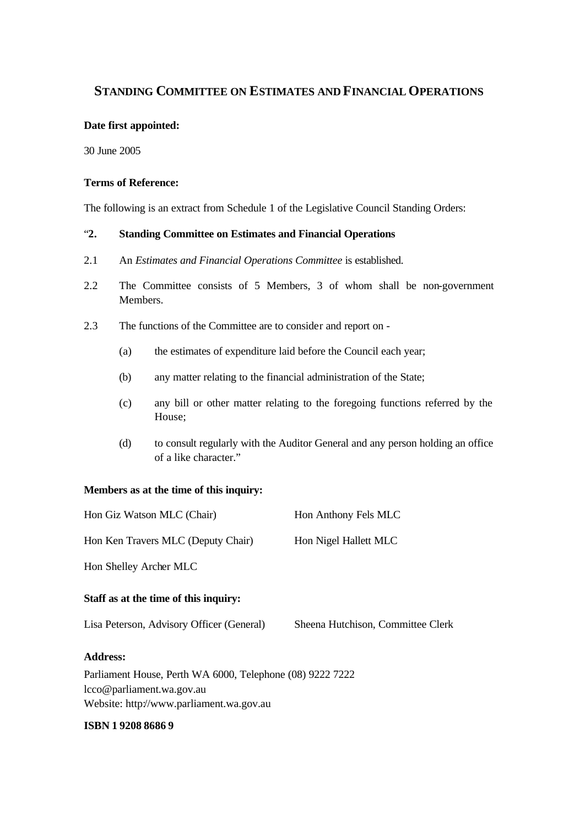#### **STANDING COMMITTEE ON ESTIMATES AND FINANCIAL OPERATIONS**

#### **Date first appointed:**

30 June 2005

#### **Terms of Reference:**

The following is an extract from Schedule 1 of the Legislative Council Standing Orders:

#### "**2. Standing Committee on Estimates and Financial Operations**

- 2.1 An *Estimates and Financial Operations Committee* is established.
- 2.2 The Committee consists of 5 Members, 3 of whom shall be non-government Members.
- 2.3 The functions of the Committee are to consider and report on
	- (a) the estimates of expenditure laid before the Council each year;
	- (b) any matter relating to the financial administration of the State;
	- (c) any bill or other matter relating to the foregoing functions referred by the House;
	- (d) to consult regularly with the Auditor General and any person holding an office of a like character."

#### **Members as at the time of this inquiry:**

| Hon Giz Watson MLC (Chair)                                                                  | Hon Anthony Fels MLC              |
|---------------------------------------------------------------------------------------------|-----------------------------------|
| Hon Ken Travers MLC (Deputy Chair)                                                          | Hon Nigel Hallett MLC             |
| Hon Shelley Archer MLC                                                                      |                                   |
| Staff as at the time of this inquiry:                                                       |                                   |
| Lisa Peterson, Advisory Officer (General)                                                   | Sheena Hutchison, Committee Clerk |
| <b>Address:</b>                                                                             |                                   |
| $D_{\alpha\beta}$ amont House, $D_{\alpha\beta}$ WA $\epsilon$ 000 Tolenhone (08) 0222 7222 |                                   |

Parliament House, Perth WA 6000, Telephone (08) 9222 7222 lcco@parliament.wa.gov.au Website: http://www.parliament.wa.gov.au

#### **ISBN 1 9208 8686 9**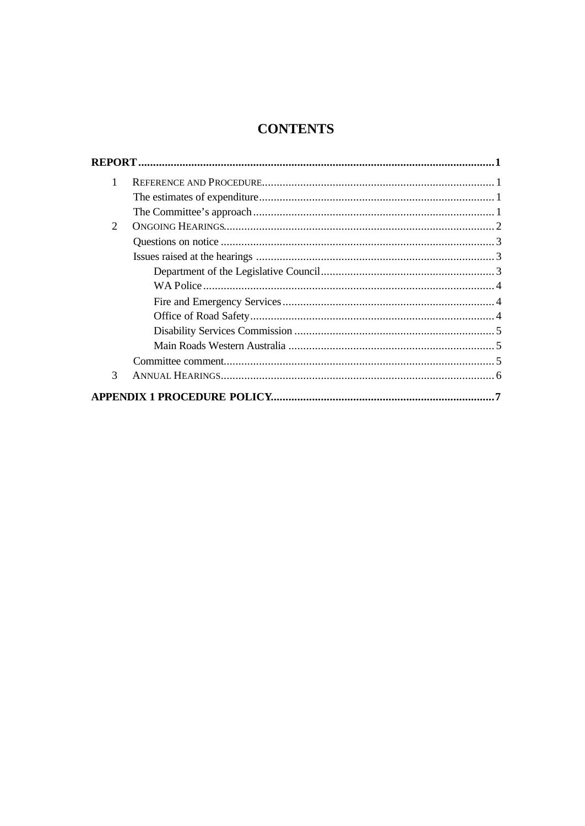## **CONTENTS**

| 1 |  |
|---|--|
|   |  |
|   |  |
| 2 |  |
|   |  |
|   |  |
|   |  |
|   |  |
|   |  |
|   |  |
|   |  |
|   |  |
|   |  |
| 3 |  |
|   |  |
|   |  |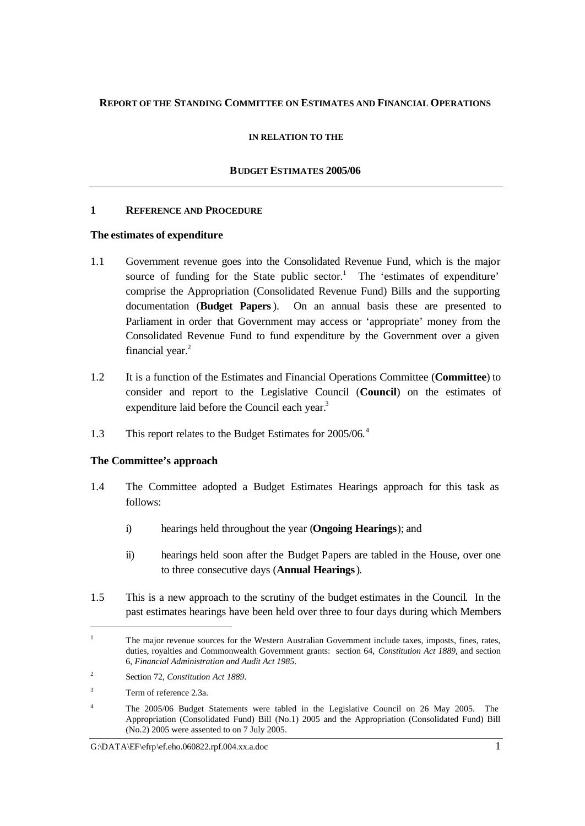#### **REPORT OF THE STANDING COMMITTEE ON ESTIMATES AND FINANCIAL OPERATIONS**

#### **IN RELATION TO THE**

#### **BUDGET ESTIMATES 2005/06**

#### **1 REFERENCE AND PROCEDURE**

#### **The estimates of expenditure**

- 1.1 Government revenue goes into the Consolidated Revenue Fund, which is the major source of funding for the State public sector.<sup>1</sup> The 'estimates of expenditure' comprise the Appropriation (Consolidated Revenue Fund) Bills and the supporting documentation (**Budget Papers**). On an annual basis these are presented to Parliament in order that Government may access or 'appropriate' money from the Consolidated Revenue Fund to fund expenditure by the Government over a given financial year. $2$
- 1.2 It is a function of the Estimates and Financial Operations Committee (**Committee**) to consider and report to the Legislative Council (**Council**) on the estimates of expenditure laid before the Council each year.<sup>3</sup>
- 1.3 This report relates to the Budget Estimates for 2005/06.<sup>4</sup>

#### **The Committee's approach**

- 1.4 The Committee adopted a Budget Estimates Hearings approach for this task as follows:
	- i) hearings held throughout the year (**Ongoing Hearings**); and
	- ii) hearings held soon after the Budget Papers are tabled in the House, over one to three consecutive days (**Annual Hearings**).
- 1.5 This is a new approach to the scrutiny of the budget estimates in the Council. In the past estimates hearings have been held over three to four days during which Members

l

<sup>&</sup>lt;sup>1</sup> The major revenue sources for the Western Australian Government include taxes, imposts, fines, rates, duties, royalties and Commonwealth Government grants: section 64, *Constitution Act 1889*, and section 6, *Financial Administration and Audit Act 1985*.

<sup>2</sup> Section 72, *Constitution Act 1889*.

<sup>&</sup>lt;sup>3</sup> Term of reference 2.3a.

<sup>&</sup>lt;sup>4</sup> The 2005/06 Budget Statements were tabled in the Legislative Council on 26 May 2005. The Appropriation (Consolidated Fund) Bill (No.1) 2005 and the Appropriation (Consolidated Fund) Bill (No.2) 2005 were assented to on 7 July 2005.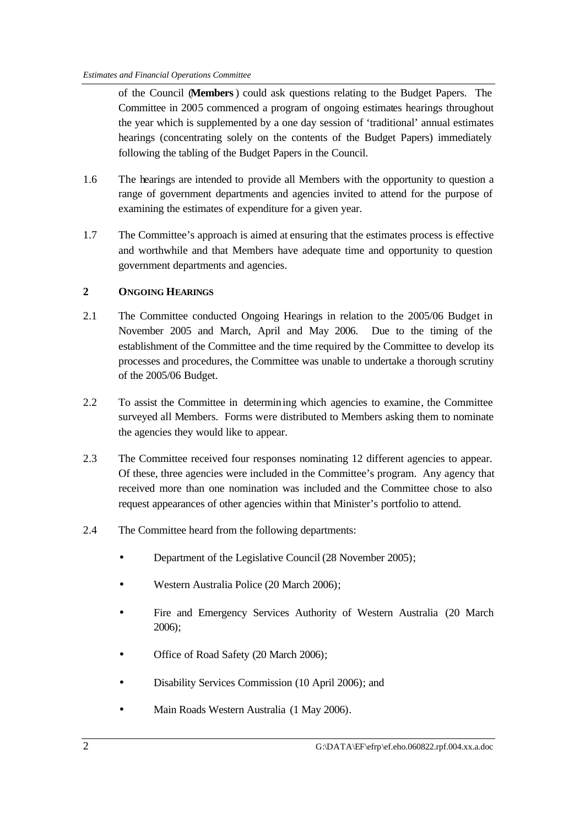of the Council (**Members**) could ask questions relating to the Budget Papers. The Committee in 2005 commenced a program of ongoing estimates hearings throughout the year which is supplemented by a one day session of 'traditional' annual estimates hearings (concentrating solely on the contents of the Budget Papers) immediately following the tabling of the Budget Papers in the Council.

- 1.6 The hearings are intended to provide all Members with the opportunity to question a range of government departments and agencies invited to attend for the purpose of examining the estimates of expenditure for a given year.
- 1.7 The Committee's approach is aimed at ensuring that the estimates process is effective and worthwhile and that Members have adequate time and opportunity to question government departments and agencies.

#### **2 ONGOING HEARINGS**

- 2.1 The Committee conducted Ongoing Hearings in relation to the 2005/06 Budget in November 2005 and March, April and May 2006. Due to the timing of the establishment of the Committee and the time required by the Committee to develop its processes and procedures, the Committee was unable to undertake a thorough scrutiny of the 2005/06 Budget.
- 2.2 To assist the Committee in determining which agencies to examine, the Committee surveyed all Members. Forms were distributed to Members asking them to nominate the agencies they would like to appear.
- 2.3 The Committee received four responses nominating 12 different agencies to appear. Of these, three agencies were included in the Committee's program. Any agency that received more than one nomination was included and the Committee chose to also request appearances of other agencies within that Minister's portfolio to attend.
- 2.4 The Committee heard from the following departments:
	- Department of the Legislative Council (28 November 2005);
	- Western Australia Police (20 March 2006);
	- Fire and Emergency Services Authority of Western Australia (20 March 2006);
	- Office of Road Safety (20 March 2006);
	- Disability Services Commission (10 April 2006); and
	- Main Roads Western Australia (1 May 2006).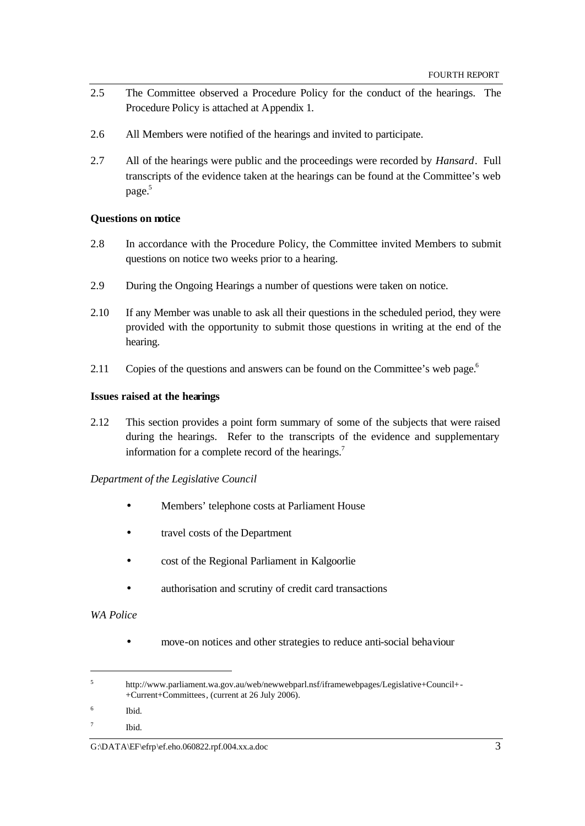- 2.5 The Committee observed a Procedure Policy for the conduct of the hearings. The Procedure Policy is attached at Appendix 1.
- 2.6 All Members were notified of the hearings and invited to participate.
- 2.7 All of the hearings were public and the proceedings were recorded by *Hansard*. Full transcripts of the evidence taken at the hearings can be found at the Committee's web page. 5

#### **Questions on notice**

- 2.8 In accordance with the Procedure Policy, the Committee invited Members to submit questions on notice two weeks prior to a hearing.
- 2.9 During the Ongoing Hearings a number of questions were taken on notice.
- 2.10 If any Member was unable to ask all their questions in the scheduled period, they were provided with the opportunity to submit those questions in writing at the end of the hearing.
- 2.11 Copies of the questions and answers can be found on the Committee's web page.<sup>6</sup>

#### **Issues raised at the hearings**

2.12 This section provides a point form summary of some of the subjects that were raised during the hearings. Refer to the transcripts of the evidence and supplementary information for a complete record of the hearings.<sup>7</sup>

#### *Department of the Legislative Council*

- Members' telephone costs at Parliament House
- travel costs of the Department
- cost of the Regional Parliament in Kalgoorlie
- authorisation and scrutiny of credit card transactions

#### *WA Police*

l

• move-on notices and other strategies to reduce anti-social behaviour

G: $\Delta$ Kata $\langle$ EF\efrp\ef.eho.060822.rpf.004.xx.a.doc 3

<sup>5</sup> http://www.parliament.wa.gov.au/web/newwebparl.nsf/iframewebpages/Legislative+Council+- +Current+Committees, (current at 26 July 2006).

<sup>6</sup> Ibid.

<sup>7</sup> Ibid.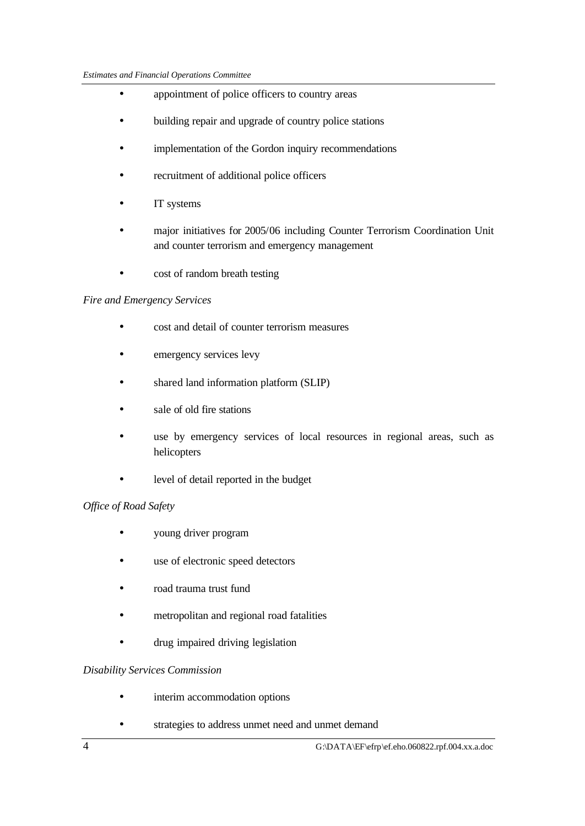- appointment of police officers to country areas
- building repair and upgrade of country police stations
- implementation of the Gordon inquiry recommendations
- recruitment of additional police officers
- IT systems
- major initiatives for 2005/06 including Counter Terrorism Coordination Unit and counter terrorism and emergency management
- cost of random breath testing

#### *Fire and Emergency Services*

- cost and detail of counter terrorism measures
- emergency services levy
- shared land information platform (SLIP)
- sale of old fire stations
- use by emergency services of local resources in regional areas, such as helicopters
- level of detail reported in the budget

#### *Office of Road Safety*

- young driver program
- use of electronic speed detectors
- road trauma trust fund
- metropolitan and regional road fatalities
- drug impaired driving legislation

#### *Disability Services Commission*

- interim accommodation options
- strategies to address unmet need and unmet demand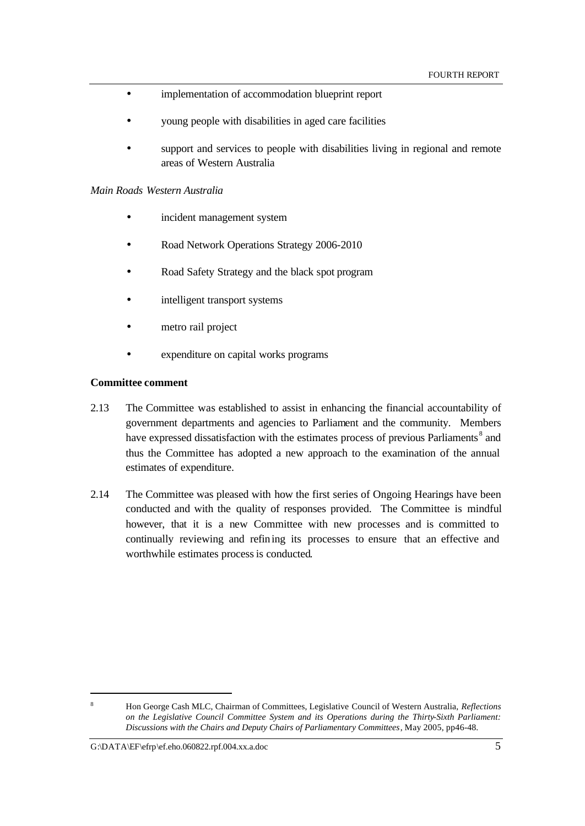- implementation of accommodation blueprint report
- young people with disabilities in aged care facilities
- support and services to people with disabilities living in regional and remote areas of Western Australia

#### *Main Roads Western Australia*

- incident management system
- Road Network Operations Strategy 2006-2010
- Road Safety Strategy and the black spot program
- intelligent transport systems
- metro rail project
- expenditure on capital works programs

#### **Committee comment**

- 2.13 The Committee was established to assist in enhancing the financial accountability of government departments and agencies to Parliament and the community. Members have expressed dissatisfaction with the estimates process of previous Parliaments<sup>8</sup> and thus the Committee has adopted a new approach to the examination of the annual estimates of expenditure.
- 2.14 The Committee was pleased with how the first series of Ongoing Hearings have been conducted and with the quality of responses provided. The Committee is mindful however, that it is a new Committee with new processes and is committed to continually reviewing and refining its processes to ensure that an effective and worthwhile estimates process is conducted.

l

<sup>8</sup> Hon George Cash MLC, Chairman of Committees, Legislative Council of Western Australia, *Reflections on the Legislative Council Committee System and its Operations during the Thirty-Sixth Parliament: Discussions with the Chairs and Deputy Chairs of Parliamentary Committees*, May 2005, pp46-48.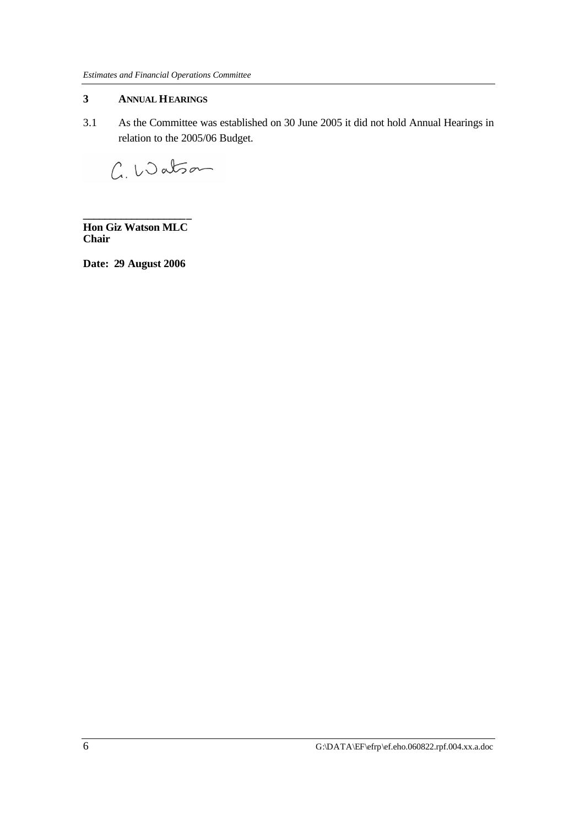#### **3 ANNUAL HEARINGS**

3.1 As the Committee was established on 30 June 2005 it did not hold Annual Hearings in relation to the 2005/06 Budget.

C. Watson

**\_\_\_\_\_\_\_\_\_\_\_\_\_\_\_\_\_\_\_\_ Hon Giz Watson MLC Chair**

**Date: 29 August 2006**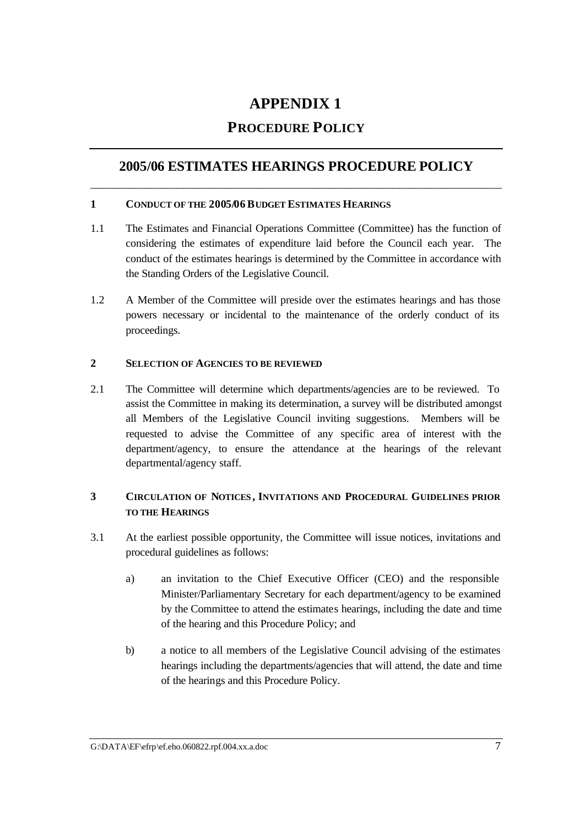## **APPENDIX 1**

### **PROCEDURE POLICY**

### **2005/06 ESTIMATES HEARINGS PROCEDURE POLICY** \_\_\_\_\_\_\_\_\_\_\_\_\_\_\_\_\_\_\_\_\_\_\_\_\_\_\_\_\_\_\_\_\_\_\_\_\_\_\_\_\_\_\_\_\_\_\_\_\_\_\_\_\_\_\_\_\_\_\_\_\_\_\_\_\_\_\_\_\_\_\_\_\_\_\_\_

#### **1 CONDUCT OF THE 2005/06BUDGET ESTIMATES HEARINGS**

- 1.1 The Estimates and Financial Operations Committee (Committee) has the function of considering the estimates of expenditure laid before the Council each year. The conduct of the estimates hearings is determined by the Committee in accordance with the Standing Orders of the Legislative Council.
- 1.2 A Member of the Committee will preside over the estimates hearings and has those powers necessary or incidental to the maintenance of the orderly conduct of its proceedings.

#### **2 SELECTION OF AGENCIES TO BE REVIEWED**

2.1 The Committee will determine which departments/agencies are to be reviewed. To assist the Committee in making its determination, a survey will be distributed amongst all Members of the Legislative Council inviting suggestions. Members will be requested to advise the Committee of any specific area of interest with the department/agency, to ensure the attendance at the hearings of the relevant departmental/agency staff.

#### **3 CIRCULATION OF NOTICES , INVITATIONS AND PROCEDURAL GUIDELINES PRIOR TO THE HEARINGS**

- 3.1 At the earliest possible opportunity, the Committee will issue notices, invitations and procedural guidelines as follows:
	- a) an invitation to the Chief Executive Officer (CEO) and the responsible Minister/Parliamentary Secretary for each department/agency to be examined by the Committee to attend the estimates hearings, including the date and time of the hearing and this Procedure Policy; and
	- b) a notice to all members of the Legislative Council advising of the estimates hearings including the departments/agencies that will attend, the date and time of the hearings and this Procedure Policy.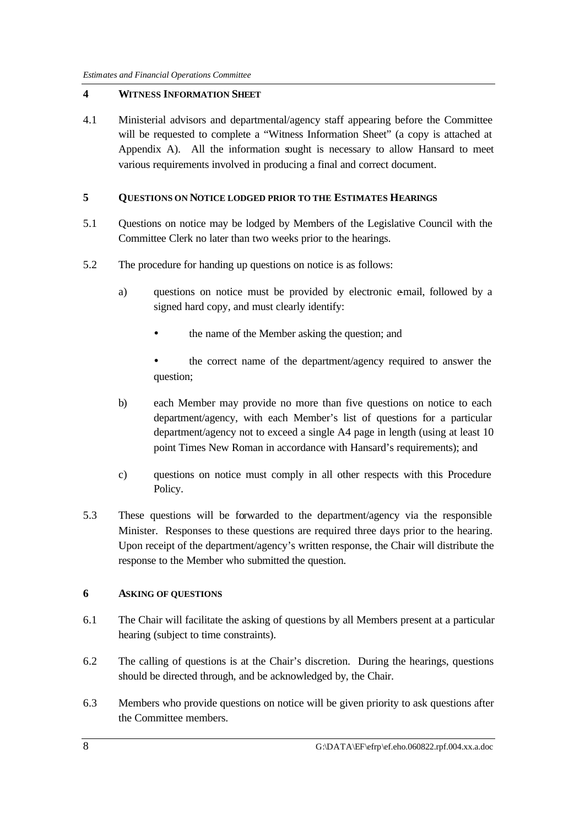#### **4 WITNESS INFORMATION SHEET**

4.1 Ministerial advisors and departmental/agency staff appearing before the Committee will be requested to complete a "Witness Information Sheet" (a copy is attached at Appendix A). All the information sought is necessary to allow Hansard to meet various requirements involved in producing a final and correct document.

#### **5 QUESTIONS ON NOTICE LODGED PRIOR TO THE ESTIMATES HEARINGS**

- 5.1 Questions on notice may be lodged by Members of the Legislative Council with the Committee Clerk no later than two weeks prior to the hearings.
- 5.2 The procedure for handing up questions on notice is as follows:
	- a) questions on notice must be provided by electronic e-mail, followed by a signed hard copy, and must clearly identify:
		- the name of the Member asking the question; and
		- the correct name of the department/agency required to answer the question;
	- b) each Member may provide no more than five questions on notice to each department/agency, with each Member's list of questions for a particular department/agency not to exceed a single A4 page in length (using at least 10 point Times New Roman in accordance with Hansard's requirements); and
	- c) questions on notice must comply in all other respects with this Procedure Policy.
- 5.3 These questions will be forwarded to the department/agency via the responsible Minister. Responses to these questions are required three days prior to the hearing. Upon receipt of the department/agency's written response, the Chair will distribute the response to the Member who submitted the question.

#### **6 ASKING OF QUESTIONS**

- 6.1 The Chair will facilitate the asking of questions by all Members present at a particular hearing (subject to time constraints).
- 6.2 The calling of questions is at the Chair's discretion. During the hearings, questions should be directed through, and be acknowledged by, the Chair.
- 6.3 Members who provide questions on notice will be given priority to ask questions after the Committee members.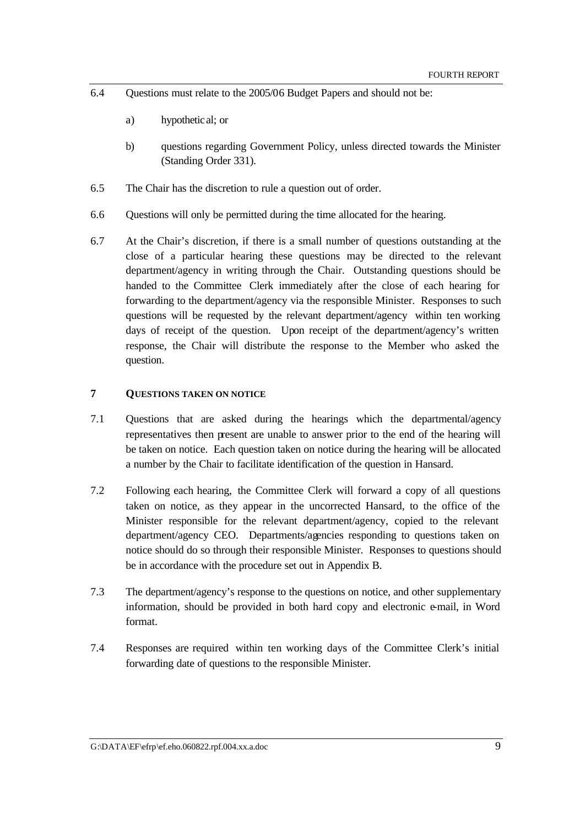- 6.4 Questions must relate to the 2005/06 Budget Papers and should not be:
	- a) hypothetical; or
	- b) questions regarding Government Policy, unless directed towards the Minister (Standing Order 331).
- 6.5 The Chair has the discretion to rule a question out of order.
- 6.6 Questions will only be permitted during the time allocated for the hearing.
- 6.7 At the Chair's discretion, if there is a small number of questions outstanding at the close of a particular hearing these questions may be directed to the relevant department/agency in writing through the Chair. Outstanding questions should be handed to the Committee Clerk immediately after the close of each hearing for forwarding to the department/agency via the responsible Minister. Responses to such questions will be requested by the relevant department/agency within ten working days of receipt of the question. Upon receipt of the department/agency's written response, the Chair will distribute the response to the Member who asked the question.

#### **7 QUESTIONS TAKEN ON NOTICE**

- 7.1 Questions that are asked during the hearings which the departmental/agency representatives then present are unable to answer prior to the end of the hearing will be taken on notice. Each question taken on notice during the hearing will be allocated a number by the Chair to facilitate identification of the question in Hansard.
- 7.2 Following each hearing, the Committee Clerk will forward a copy of all questions taken on notice, as they appear in the uncorrected Hansard, to the office of the Minister responsible for the relevant department/agency, copied to the relevant department/agency CEO. Departments/agencies responding to questions taken on notice should do so through their responsible Minister. Responses to questions should be in accordance with the procedure set out in Appendix B.
- 7.3 The department/agency's response to the questions on notice, and other supplementary information, should be provided in both hard copy and electronic e-mail, in Word format.
- 7.4 Responses are required within ten working days of the Committee Clerk's initial forwarding date of questions to the responsible Minister.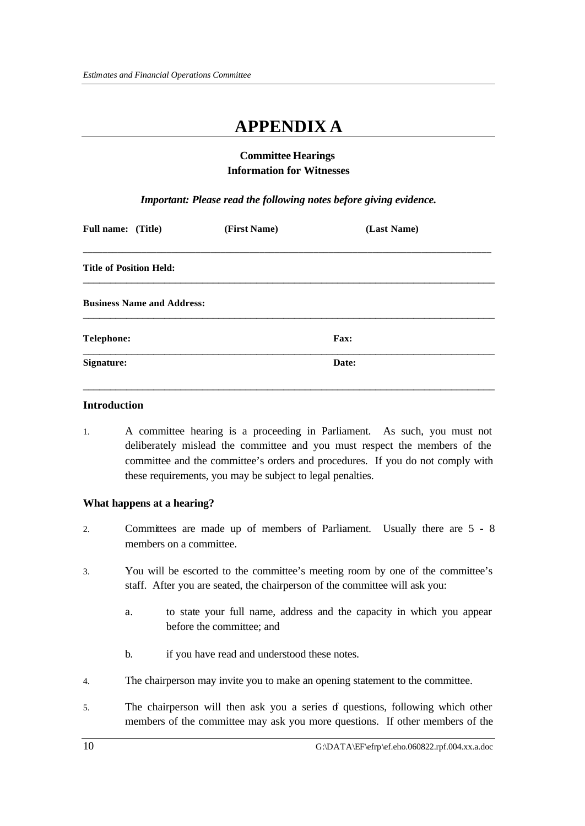## **APPENDIX A**

#### **Committee Hearings Information for Witnesses**

*Important: Please read the following notes before giving evidence.*

| <b>Full name:</b> (Title)         | (First Name) | (Last Name) |  |
|-----------------------------------|--------------|-------------|--|
| <b>Title of Position Held:</b>    |              |             |  |
| <b>Business Name and Address:</b> |              |             |  |
| <b>Telephone:</b>                 |              | <b>Fax:</b> |  |
| <b>Signature:</b>                 |              | Date:       |  |

#### **Introduction**

1. A committee hearing is a proceeding in Parliament. As such, you must not deliberately mislead the committee and you must respect the members of the committee and the committee's orders and procedures. If you do not comply with these requirements, you may be subject to legal penalties.

#### **What happens at a hearing?**

- 2. Committees are made up of members of Parliament. Usually there are 5 8 members on a committee.
- 3. You will be escorted to the committee's meeting room by one of the committee's staff. After you are seated, the chairperson of the committee will ask you:
	- a. to state your full name, address and the capacity in which you appear before the committee; and
	- b. if you have read and understood these notes.
- 4. The chairperson may invite you to make an opening statement to the committee.
- 5. The chairperson will then ask you a series of questions, following which other members of the committee may ask you more questions. If other members of the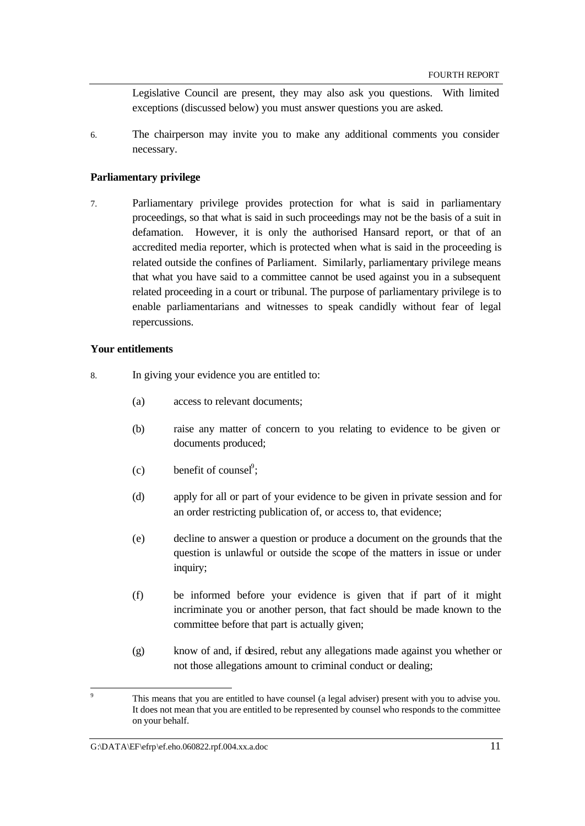Legislative Council are present, they may also ask you questions. With limited exceptions (discussed below) you must answer questions you are asked.

6. The chairperson may invite you to make any additional comments you consider necessary.

#### **Parliamentary privilege**

7. Parliamentary privilege provides protection for what is said in parliamentary proceedings, so that what is said in such proceedings may not be the basis of a suit in defamation. However, it is only the authorised Hansard report, or that of an accredited media reporter, which is protected when what is said in the proceeding is related outside the confines of Parliament. Similarly, parliamentary privilege means that what you have said to a committee cannot be used against you in a subsequent related proceeding in a court or tribunal. The purpose of parliamentary privilege is to enable parliamentarians and witnesses to speak candidly without fear of legal repercussions.

#### **Your entitlements**

- 8. In giving your evidence you are entitled to:
	- (a) access to relevant documents;
	- (b) raise any matter of concern to you relating to evidence to be given or documents produced;
	- (c) benefit of counsel<sup>9</sup>;
	- (d) apply for all or part of your evidence to be given in private session and for an order restricting publication of, or access to, that evidence;
	- (e) decline to answer a question or produce a document on the grounds that the question is unlawful or outside the scope of the matters in issue or under inquiry;
	- (f) be informed before your evidence is given that if part of it might incriminate you or another person, that fact should be made known to the committee before that part is actually given;
	- (g) know of and, if desired, rebut any allegations made against you whether or not those allegations amount to criminal conduct or dealing;

#### G: $\Delta$ Kata $\langle$ EF\efrp\ef.eho.060822.rpf.004.xx.a.doc 11

l 9 This means that you are entitled to have counsel (a legal adviser) present with you to advise you. It does not mean that you are entitled to be represented by counsel who responds to the committee on your behalf.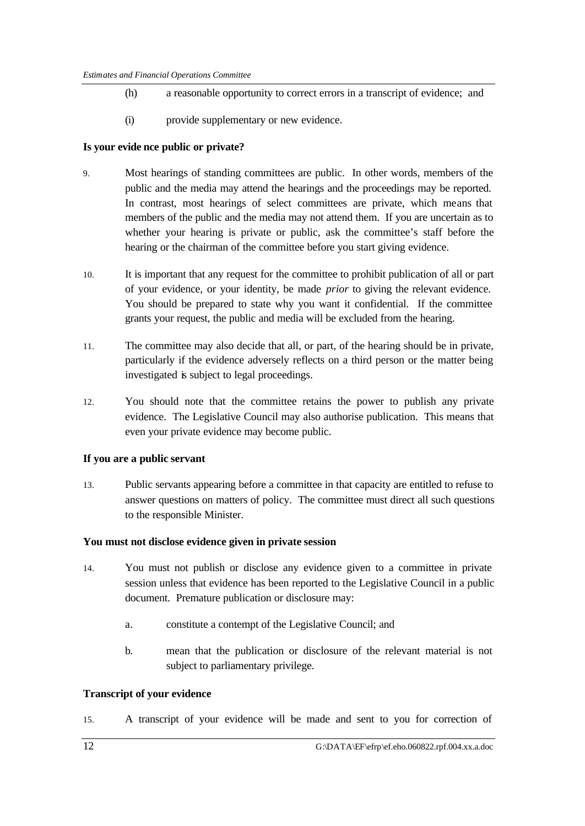- (h) a reasonable opportunity to correct errors in a transcript of evidence; and
- (i) provide supplementary or new evidence.

#### **Is your evide nce public or private?**

- 9. Most hearings of standing committees are public. In other words, members of the public and the media may attend the hearings and the proceedings may be reported. In contrast, most hearings of select committees are private, which means that members of the public and the media may not attend them. If you are uncertain as to whether your hearing is private or public, ask the committee's staff before the hearing or the chairman of the committee before you start giving evidence.
- 10. It is important that any request for the committee to prohibit publication of all or part of your evidence, or your identity, be made *prior* to giving the relevant evidence. You should be prepared to state why you want it confidential. If the committee grants your request, the public and media will be excluded from the hearing.
- 11. The committee may also decide that all, or part, of the hearing should be in private, particularly if the evidence adversely reflects on a third person or the matter being investigated is subject to legal proceedings.
- 12. You should note that the committee retains the power to publish any private evidence. The Legislative Council may also authorise publication. This means that even your private evidence may become public.

#### **If you are a public servant**

13. Public servants appearing before a committee in that capacity are entitled to refuse to answer questions on matters of policy. The committee must direct all such questions to the responsible Minister.

#### **You must not disclose evidence given in private session**

- 14. You must not publish or disclose any evidence given to a committee in private session unless that evidence has been reported to the Legislative Council in a public document. Premature publication or disclosure may:
	- a. constitute a contempt of the Legislative Council; and
	- b. mean that the publication or disclosure of the relevant material is not subject to parliamentary privilege.

#### **Transcript of your evidence**

15. A transcript of your evidence will be made and sent to you for correction of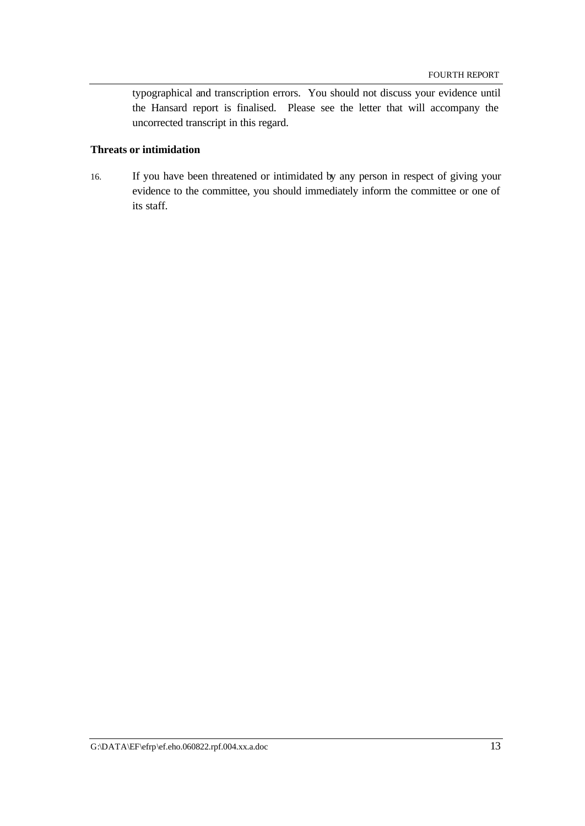typographical and transcription errors. You should not discuss your evidence until the Hansard report is finalised. Please see the letter that will accompany the uncorrected transcript in this regard.

#### **Threats or intimidation**

16. If you have been threatened or intimidated by any person in respect of giving your evidence to the committee, you should immediately inform the committee or one of its staff.